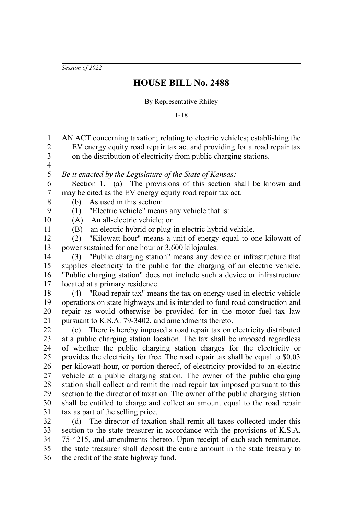*Session of 2022*

## **HOUSE BILL No. 2488**

By Representative Rhiley

1-18

AN ACT concerning taxation; relating to electric vehicles; establishing the EV energy equity road repair tax act and providing for a road repair tax on the distribution of electricity from public charging stations. *Be it enacted by the Legislature of the State of Kansas:* Section 1. (a) The provisions of this section shall be known and may be cited as the EV energy equity road repair tax act. (b) As used in this section: (1) "Electric vehicle" means any vehicle that is: (A) An all-electric vehicle; or (B) an electric hybrid or plug-in electric hybrid vehicle. (2) "Kilowatt-hour" means a unit of energy equal to one kilowatt of power sustained for one hour or 3,600 kilojoules. (3) "Public charging station" means any device or infrastructure that supplies electricity to the public for the charging of an electric vehicle. "Public charging station" does not include such a device or infrastructure located at a primary residence. (4) "Road repair tax" means the tax on energy used in electric vehicle operations on state highways and is intended to fund road construction and repair as would otherwise be provided for in the motor fuel tax law pursuant to K.S.A. 79-3402, and amendments thereto. (c) There is hereby imposed a road repair tax on electricity distributed at a public charging station location. The tax shall be imposed regardless of whether the public charging station charges for the electricity or provides the electricity for free. The road repair tax shall be equal to \$0.03 per kilowatt-hour, or portion thereof, of electricity provided to an electric vehicle at a public charging station. The owner of the public charging station shall collect and remit the road repair tax imposed pursuant to this section to the director of taxation. The owner of the public charging station shall be entitled to charge and collect an amount equal to the road repair tax as part of the selling price. (d) The director of taxation shall remit all taxes collected under this section to the state treasurer in accordance with the provisions of K.S.A. 75-4215, and amendments thereto. Upon receipt of each such remittance, 1 2 3 4 5 6 7 8 9 10 11 12 13 14 15 16 17 18 19 20 21 22 23 24 25 26 27 28 29 30 31 32 33 34

the state treasurer shall deposit the entire amount in the state treasury to the credit of the state highway fund. 35 36